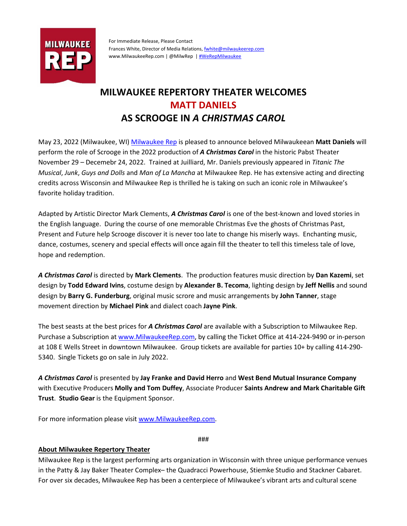

For Immediate Release, Please Contact Frances White, Director of Media Relations[, fwhite@milwaukeerep.com](mailto:fwhite@milwaukeerep.com) [www.MilwaukeeRep.com](http://www.milwaukeerep.com/) | @MilwRep [| #WeRepMilwaukee](https://www.youtube.com/watch?v=QSYIOPkOjFI&t=4s)

## **MILWAUKEE REPERTORY THEATER WELCOMES MATT DANIELS AS SCROOGE IN** *A CHRISTMAS CAROL*

May 23, 2022 (Milwaukee, WI) [Milwaukee Rep](http://www.milwaukeerep.com/) is pleased to announce beloved Milwaukeean **Matt Daniels** will perform the role of Scrooge in the 2022 production of *A Christmas Carol* in the historic Pabst Theater November 29 – Decemebr 24, 2022. Trained at Juilliard, Mr. Daniels previously appeared in *Titanic The Musical*, *Junk*, *Guys and Dolls* and *Man of La Mancha* at Milwaukee Rep. He has extensive acting and directing credits across Wisconsin and Milwaukee Rep is thrilled he is taking on such an iconic role in Milwaukee's favorite holiday tradition.

Adapted by Artistic Director Mark Clements, *A Christmas Carol* is one of the best-known and loved stories in the English language. During the course of one memorable Christmas Eve the ghosts of Christmas Past, Present and Future help Scrooge discover it is never too late to change his miserly ways. Enchanting music, dance, costumes, scenery and special effects will once again fill the theater to tell this timeless tale of love, hope and redemption.

*A Christmas Carol* is directed by **Mark Clements**. The production features music direction by **Dan Kazemi**, set design by **Todd Edward Ivins**, costume design by **Alexander B. Tecoma**, lighting design by **Jeff Nellis** and sound design by **Barry G. Funderburg**, original music scrore and music arrangements by **John Tanner**, stage movement direction by **Michael Pink** and dialect coach **Jayne Pink**.

The best seasts at the best prices for *A Christmas Carol* are available with a Subscription to Milwaukee Rep. Purchase a Subscription at [www.MilwaukeeRep.com,](http://www.milwaukeerep.com/) by calling the Ticket Office at 414-224-9490 or in-person at 108 E Wells Street in downtown Milwaukee. Group tickets are available for parties 10+ by calling 414-290- 5340. Single Tickets go on sale in July 2022.

*A Christmas Carol* is presented by **Jay Franke and David Herro** and **West Bend Mutual Insurance Company**  with Executive Producers **Molly and Tom Duffey**, Associate Producer **Saints Andrew and Mark Charitable Gift Trust**. **Studio Gear** is the Equipment Sponsor.

For more information please visi[t www.MilwaukeeRep.com.](file://srv12/Share/company/Marketing/Press/Press%20Releases/www.MilwaukeeRep.com)

###

## **About Milwaukee Repertory Theater**

Milwaukee Rep is the largest performing arts organization in Wisconsin with three unique performance venues in the Patty & Jay Baker Theater Complex– the Quadracci Powerhouse, Stiemke Studio and Stackner Cabaret. For over six decades, Milwaukee Rep has been a centerpiece of Milwaukee's vibrant arts and cultural scene